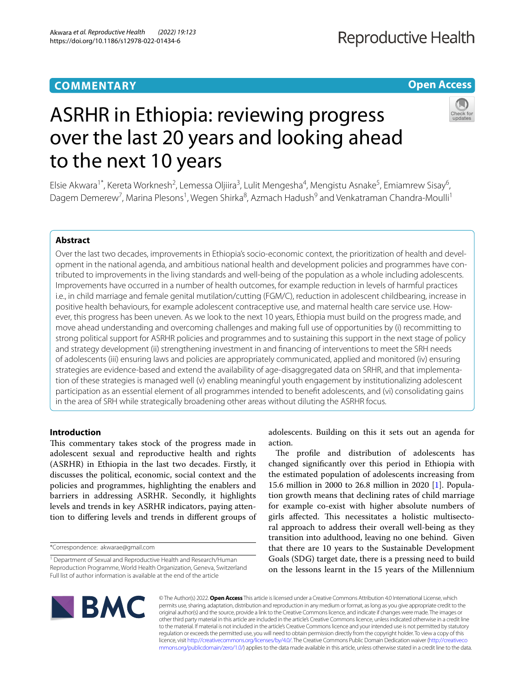# **COMMENTARY**

# **Open Access**



# ASRHR in Ethiopia: reviewing progress over the last 20 years and looking ahead to the next 10 years

Elsie Akwara<sup>1\*</sup>, Kereta Worknesh<sup>2</sup>, Lemessa Oljiira<sup>3</sup>, Lulit Mengesha<sup>4</sup>, Mengistu Asnake<sup>5</sup>, Emiamrew Sisay<sup>6</sup>, Dagem Demerew<sup>7</sup>, Marina Plesons<sup>1</sup>, Wegen Shirka<sup>8</sup>, Azmach Hadush<sup>9</sup> and Venkatraman Chandra-Moulli<sup>1</sup>

# **Abstract**

Over the last two decades, improvements in Ethiopia's socio-economic context, the prioritization of health and development in the national agenda, and ambitious national health and development policies and programmes have contributed to improvements in the living standards and well-being of the population as a whole including adolescents. Improvements have occurred in a number of health outcomes, for example reduction in levels of harmful practices i.e., in child marriage and female genital mutilation/cutting (FGM/C), reduction in adolescent childbearing, increase in positive health behaviours, for example adolescent contraceptive use, and maternal health care service use. However, this progress has been uneven. As we look to the next 10 years, Ethiopia must build on the progress made, and move ahead understanding and overcoming challenges and making full use of opportunities by (i) recommitting to strong political support for ASRHR policies and programmes and to sustaining this support in the next stage of policy and strategy development (ii) strengthening investment in and fnancing of interventions to meet the SRH needs of adolescents (iii) ensuring laws and policies are appropriately communicated, applied and monitored (iv) ensuring strategies are evidence-based and extend the availability of age-disaggregated data on SRHR, and that implementation of these strategies is managed well (v) enabling meaningful youth engagement by institutionalizing adolescent participation as an essential element of all programmes intended to beneft adolescents, and (vi) consolidating gains in the area of SRH while strategically broadening other areas without diluting the ASRHR focus.

### **Introduction**

This commentary takes stock of the progress made in adolescent sexual and reproductive health and rights (ASRHR) in Ethiopia in the last two decades. Firstly, it discusses the political, economic, social context and the policies and programmes, highlighting the enablers and barriers in addressing ASRHR. Secondly, it highlights levels and trends in key ASRHR indicators, paying attention to difering levels and trends in diferent groups of

adolescents. Building on this it sets out an agenda for action.

The profile and distribution of adolescents has changed signifcantly over this period in Ethiopia with the estimated population of adolescents increasing from 15.6 million in 2000 to 26.8 million in 2020 [\[1](#page-8-0)]. Population growth means that declining rates of child marriage for example co-exist with higher absolute numbers of girls affected. This necessitates a holistic multisectoral approach to address their overall well-being as they transition into adulthood, leaving no one behind. Given that there are 10 years to the Sustainable Development Goals (SDG) target date, there is a pressing need to build on the lessons learnt in the 15 years of the Millennium



© The Author(s) 2022. **Open Access** This article is licensed under a Creative Commons Attribution 4.0 International License, which permits use, sharing, adaptation, distribution and reproduction in any medium or format, as long as you give appropriate credit to the original author(s) and the source, provide a link to the Creative Commons licence, and indicate if changes were made. The images or other third party material in this article are included in the article's Creative Commons licence, unless indicated otherwise in a credit line to the material. If material is not included in the article's Creative Commons licence and your intended use is not permitted by statutory regulation or exceeds the permitted use, you will need to obtain permission directly from the copyright holder. To view a copy of this licence, visit [http://creativecommons.org/licenses/by/4.0/.](http://creativecommons.org/licenses/by/4.0/) The Creative Commons Public Domain Dedication waiver ([http://creativeco](http://creativecommons.org/publicdomain/zero/1.0/) [mmons.org/publicdomain/zero/1.0/](http://creativecommons.org/publicdomain/zero/1.0/)) applies to the data made available in this article, unless otherwise stated in a credit line to the data.

<sup>\*</sup>Correspondence: akwarae@gmail.com

<sup>&</sup>lt;sup>1</sup> Department of Sexual and Reproductive Health and Research/Human Reproduction Programme, World Health Organization, Geneva, Switzerland Full list of author information is available at the end of the article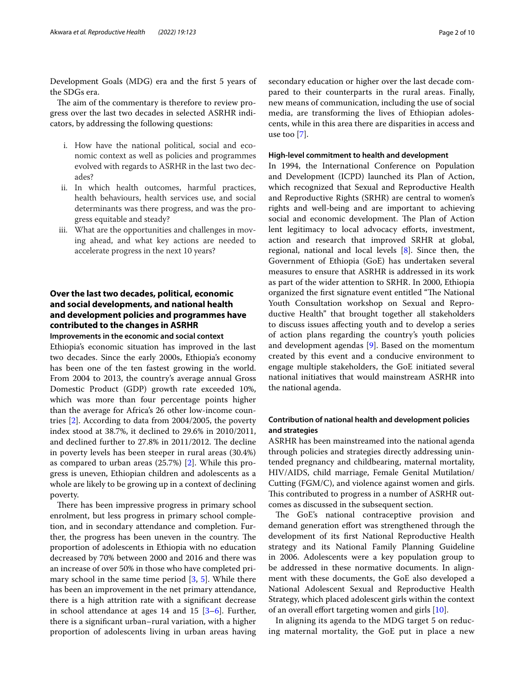Development Goals (MDG) era and the frst 5 years of the SDGs era.

The aim of the commentary is therefore to review progress over the last two decades in selected ASRHR indicators, by addressing the following questions:

- i. How have the national political, social and economic context as well as policies and programmes evolved with regards to ASRHR in the last two decades?
- ii. In which health outcomes, harmful practices, health behaviours, health services use, and social determinants was there progress, and was the progress equitable and steady?
- iii. What are the opportunities and challenges in moving ahead, and what key actions are needed to accelerate progress in the next 10 years?

# **Over the last two decades, political, economic and social developments, and national health and development policies and programmes have contributed to the changes in ASRHR**

**Improvements in the economic and social context**

Ethiopia's economic situation has improved in the last two decades. Since the early 2000s, Ethiopia's economy has been one of the ten fastest growing in the world. From 2004 to 2013, the country's average annual Gross Domestic Product (GDP) growth rate exceeded 10%, which was more than four percentage points higher than the average for Africa's 26 other low-income countries [[2\]](#page-8-1). According to data from 2004/2005, the poverty index stood at 38.7%, it declined to 29.6% in 2010/2011, and declined further to 27.8% in 2011/2012. The decline in poverty levels has been steeper in rural areas (30.4%) as compared to urban areas (25.7%) [[2\]](#page-8-1). While this progress is uneven, Ethiopian children and adolescents as a whole are likely to be growing up in a context of declining poverty.

There has been impressive progress in primary school enrolment, but less progress in primary school completion, and in secondary attendance and completion. Further, the progress has been uneven in the country. The proportion of adolescents in Ethiopia with no education decreased by 70% between 2000 and 2016 and there was an increase of over 50% in those who have completed primary school in the same time period [\[3](#page-8-2), [5\]](#page-8-3). While there has been an improvement in the net primary attendance, there is a high attrition rate with a signifcant decrease in school attendance at ages 14 and 15  $[3-6]$  $[3-6]$ . Further, there is a signifcant urban–rural variation, with a higher proportion of adolescents living in urban areas having secondary education or higher over the last decade compared to their counterparts in the rural areas. Finally, new means of communication, including the use of social media, are transforming the lives of Ethiopian adolescents, while in this area there are disparities in access and use too [[7\]](#page-8-5).

### **High‑level commitment to health and development**

In 1994, the International Conference on Population and Development (ICPD) launched its Plan of Action, which recognized that Sexual and Reproductive Health and Reproductive Rights (SRHR) are central to women's rights and well-being and are important to achieving social and economic development. The Plan of Action lent legitimacy to local advocacy efforts, investment, action and research that improved SRHR at global, regional, national and local levels  $[8]$ . Since then, the Government of Ethiopia (GoE) has undertaken several measures to ensure that ASRHR is addressed in its work as part of the wider attention to SRHR. In 2000, Ethiopia organized the first signature event entitled "The National Youth Consultation workshop on Sexual and Reproductive Health" that brought together all stakeholders to discuss issues afecting youth and to develop a series of action plans regarding the country's youth policies and development agendas [[9\]](#page-8-7). Based on the momentum created by this event and a conducive environment to engage multiple stakeholders, the GoE initiated several national initiatives that would mainstream ASRHR into the national agenda.

### **Contribution of national health and development policies and strategies**

ASRHR has been mainstreamed into the national agenda through policies and strategies directly addressing unintended pregnancy and childbearing, maternal mortality, HIV/AIDS, child marriage, Female Genital Mutilation/ Cutting (FGM/C), and violence against women and girls. This contributed to progress in a number of ASRHR outcomes as discussed in the subsequent section.

The GoE's national contraceptive provision and demand generation effort was strengthened through the development of its frst National Reproductive Health strategy and its National Family Planning Guideline in 2006. Adolescents were a key population group to be addressed in these normative documents. In alignment with these documents, the GoE also developed a National Adolescent Sexual and Reproductive Health Strategy, which placed adolescent girls within the context of an overall effort targeting women and girls  $[10]$  $[10]$ .

In aligning its agenda to the MDG target 5 on reducing maternal mortality, the GoE put in place a new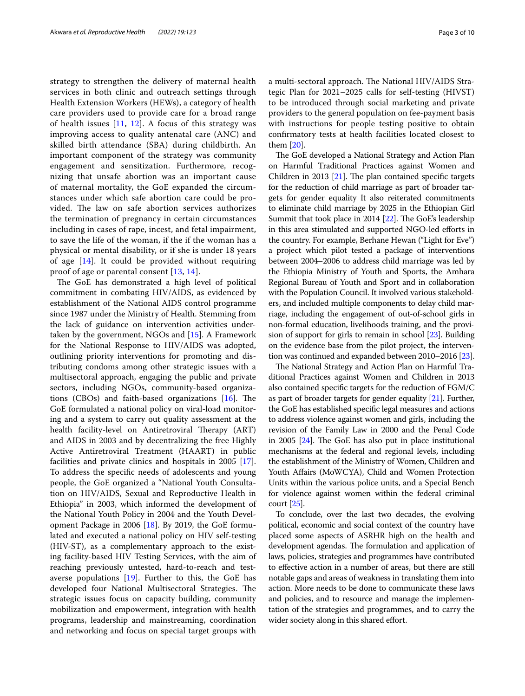strategy to strengthen the delivery of maternal health services in both clinic and outreach settings through Health Extension Workers (HEWs), a category of health care providers used to provide care for a broad range of health issues  $[11, 12]$  $[11, 12]$  $[11, 12]$  $[11, 12]$  $[11, 12]$ . A focus of this strategy was improving access to quality antenatal care (ANC) and skilled birth attendance (SBA) during childbirth. An important component of the strategy was community engagement and sensitization. Furthermore, recognizing that unsafe abortion was an important cause of maternal mortality, the GoE expanded the circumstances under which safe abortion care could be provided. The law on safe abortion services authorizes the termination of pregnancy in certain circumstances including in cases of rape, incest, and fetal impairment, to save the life of the woman, if the if the woman has a physical or mental disability, or if she is under 18 years of age [[14](#page-8-11)]. It could be provided without requiring proof of age or parental consent [[13,](#page-8-12) [14\]](#page-8-11).

The GoE has demonstrated a high level of political commitment in combating HIV/AIDS, as evidenced by establishment of the National AIDS control programme since 1987 under the Ministry of Health. Stemming from the lack of guidance on intervention activities undertaken by the government, NGOs and [[15\]](#page-8-13). A Framework for the National Response to HIV/AIDS was adopted, outlining priority interventions for promoting and distributing condoms among other strategic issues with a multisectoral approach, engaging the public and private sectors, including NGOs, community-based organizations (CBOs) and faith-based organizations  $[16]$  $[16]$ . The GoE formulated a national policy on viral-load monitoring and a system to carry out quality assessment at the health facility-level on Antiretroviral Therapy (ART) and AIDS in 2003 and by decentralizing the free Highly Active Antiretroviral Treatment (HAART) in public facilities and private clinics and hospitals in 2005 [\[17](#page-9-0)]. To address the specifc needs of adolescents and young people, the GoE organized a "National Youth Consultation on HIV/AIDS, Sexual and Reproductive Health in Ethiopia" in 2003, which informed the development of the National Youth Policy in 2004 and the Youth Development Package in 2006 [[18\]](#page-9-1). By 2019, the GoE formulated and executed a national policy on HIV self-testing (HIV-ST), as a complementary approach to the existing facility-based HIV Testing Services, with the aim of reaching previously untested, hard-to-reach and testaverse populations  $[19]$  $[19]$  $[19]$ . Further to this, the GoE has developed four National Multisectoral Strategies. The strategic issues focus on capacity building, community mobilization and empowerment, integration with health programs, leadership and mainstreaming, coordination and networking and focus on special target groups with a multi-sectoral approach. The National HIV/AIDS Strategic Plan for 2021–2025 calls for self-testing (HIVST) to be introduced through social marketing and private providers to the general population on fee-payment basis with instructions for people testing positive to obtain confrmatory tests at health facilities located closest to them [\[20](#page-9-3)].

The GoE developed a National Strategy and Action Plan on Harmful Traditional Practices against Women and Children in 2013  $[21]$ . The plan contained specific targets for the reduction of child marriage as part of broader targets for gender equality It also reiterated commitments to eliminate child marriage by 2025 in the Ethiopian Girl Summit that took place in 2014 [\[22\]](#page-9-5). The GoE's leadership in this area stimulated and supported NGO-led efforts in the country. For example, Berhane Hewan ("Light for Eve") a project which pilot tested a package of interventions between 2004–2006 to address child marriage was led by the Ethiopia Ministry of Youth and Sports, the Amhara Regional Bureau of Youth and Sport and in collaboration with the Population Council. It involved various stakeholders, and included multiple components to delay child marriage, including the engagement of out-of-school girls in non-formal education, livelihoods training, and the provision of support for girls to remain in school [\[23](#page-9-6)]. Building on the evidence base from the pilot project, the intervention was continued and expanded between 2010–2016 [[23](#page-9-6)].

The National Strategy and Action Plan on Harmful Traditional Practices against Women and Children in 2013 also contained specifc targets for the reduction of FGM/C as part of broader targets for gender equality [[21](#page-9-4)]. Further, the GoE has established specifc legal measures and actions to address violence against women and girls, including the revision of the Family Law in 2000 and the Penal Code in 2005  $[24]$ . The GoE has also put in place institutional mechanisms at the federal and regional levels, including the establishment of the Ministry of Women, Children and Youth Afairs (MoWCYA), Child and Women Protection Units within the various police units, and a Special Bench for violence against women within the federal criminal court [\[25\]](#page-9-8).

To conclude, over the last two decades, the evolving political, economic and social context of the country have placed some aspects of ASRHR high on the health and development agendas. The formulation and application of laws, policies, strategies and programmes have contributed to efective action in a number of areas, but there are still notable gaps and areas of weakness in translating them into action. More needs to be done to communicate these laws and policies, and to resource and manage the implementation of the strategies and programmes, and to carry the wider society along in this shared effort.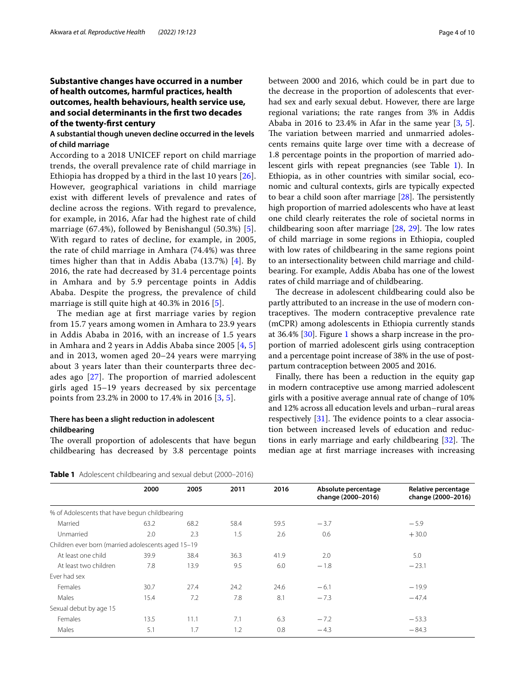# **Substantive changes have occurred in a number of health outcomes, harmful practices, health outcomes, health behaviours, health service use, and social determinants in the frst two decades of the twenty‑frst century**

### **A substantial though uneven decline occurred in the levels of child marriage**

According to a 2018 UNICEF report on child marriage trends, the overall prevalence rate of child marriage in Ethiopia has dropped by a third in the last 10 years [[26](#page-9-9)]. However, geographical variations in child marriage exist with diferent levels of prevalence and rates of decline across the regions. With regard to prevalence, for example, in 2016, Afar had the highest rate of child marriage (67.4%), followed by Benishangul (50.3%) [[5\]](#page-8-3). With regard to rates of decline, for example, in 2005, the rate of child marriage in Amhara (74.4%) was three times higher than that in Addis Ababa (13.7%) [[4\]](#page-8-15). By 2016, the rate had decreased by 31.4 percentage points in Amhara and by 5.9 percentage points in Addis Ababa. Despite the progress, the prevalence of child marriage is still quite high at 40.3% in 2016 [[5\]](#page-8-3).

The median age at first marriage varies by region from 15.7 years among women in Amhara to 23.9 years in Addis Ababa in 2016, with an increase of 1.5 years in Amhara and 2 years in Addis Ababa since 2005 [\[4](#page-8-15), [5](#page-8-3)] and in 2013, women aged 20–24 years were marrying about 3 years later than their counterparts three decades ago [[27](#page-9-10)]. The proportion of married adolescent girls aged 15–19 years decreased by six percentage points from 23.2% in 2000 to 17.4% in 2016 [[3,](#page-8-2) [5\]](#page-8-3).

### **There has been a slight reduction in adolescent childbearing**

The overall proportion of adolescents that have begun childbearing has decreased by 3.8 percentage points

<span id="page-3-0"></span>**Table 1** Adolescent childbearing and sexual debut (2000–2016)

between 2000 and 2016, which could be in part due to the decrease in the proportion of adolescents that everhad sex and early sexual debut. However, there are large regional variations; the rate ranges from 3% in Addis Ababa in 2016 to 23.4% in Afar in the same year  $[3, 5]$  $[3, 5]$  $[3, 5]$  $[3, 5]$  $[3, 5]$ . The variation between married and unmarried adolescents remains quite large over time with a decrease of 1.8 percentage points in the proportion of married adolescent girls with repeat pregnancies (see Table [1\)](#page-3-0). In Ethiopia, as in other countries with similar social, economic and cultural contexts, girls are typically expected to bear a child soon after marriage  $[28]$  $[28]$ . The persistently high proportion of married adolescents who have at least one child clearly reiterates the role of societal norms in childbearing soon after marriage  $[28, 29]$  $[28, 29]$  $[28, 29]$  $[28, 29]$  $[28, 29]$ . The low rates of child marriage in some regions in Ethiopia, coupled with low rates of childbearing in the same regions point to an intersectionality between child marriage and childbearing. For example, Addis Ababa has one of the lowest rates of child marriage and of childbearing.

The decrease in adolescent childbearing could also be partly attributed to an increase in the use of modern contraceptives. The modern contraceptive prevalence rate (mCPR) among adolescents in Ethiopia currently stands at 36.4% [[30](#page-9-13)]. Figure [1](#page-4-0) shows a sharp increase in the proportion of married adolescent girls using contraception and a percentage point increase of 38% in the use of postpartum contraception between 2005 and 2016.

Finally, there has been a reduction in the equity gap in modern contraceptive use among married adolescent girls with a positive average annual rate of change of 10% and 12% across all education levels and urban–rural areas respectively  $[31]$  $[31]$ . The evidence points to a clear association between increased levels of education and reductions in early marriage and early childbearing  $[32]$  $[32]$ . The median age at frst marriage increases with increasing

|                                                    | 2000 | 2005 | 2011 | 2016 | Absolute percentage<br>change (2000-2016) | Relative percentage<br>change (2000-2016) |
|----------------------------------------------------|------|------|------|------|-------------------------------------------|-------------------------------------------|
| % of Adolescents that have begun childbearing      |      |      |      |      |                                           |                                           |
| Married                                            | 63.2 | 68.2 | 58.4 | 59.5 | $-3.7$                                    | $-5.9$                                    |
| Unmarried                                          | 2.0  | 2.3  | 1.5  | 2.6  | 0.6                                       | $+30.0$                                   |
| Children ever born (married adolescents aged 15-19 |      |      |      |      |                                           |                                           |
| At least one child                                 | 39.9 | 38.4 | 36.3 | 41.9 | 2.0                                       | 5.0                                       |
| At least two children                              | 7.8  | 13.9 | 9.5  | 6.0  | $-1.8$                                    | $-23.1$                                   |
| Fver had sex                                       |      |      |      |      |                                           |                                           |
| Females                                            | 30.7 | 27.4 | 24.2 | 24.6 | $-6.1$                                    | $-19.9$                                   |
| Males                                              | 15.4 | 7.2  | 7.8  | 8.1  | $-7.3$                                    | $-47.4$                                   |
| Sexual debut by age 15                             |      |      |      |      |                                           |                                           |
| Females                                            | 13.5 | 11.1 | 7.1  | 6.3  | $-7.2$                                    | $-53.3$                                   |
| Males                                              | 5.1  | 1.7  | 1.2  | 0.8  | $-4.3$                                    | $-84.3$                                   |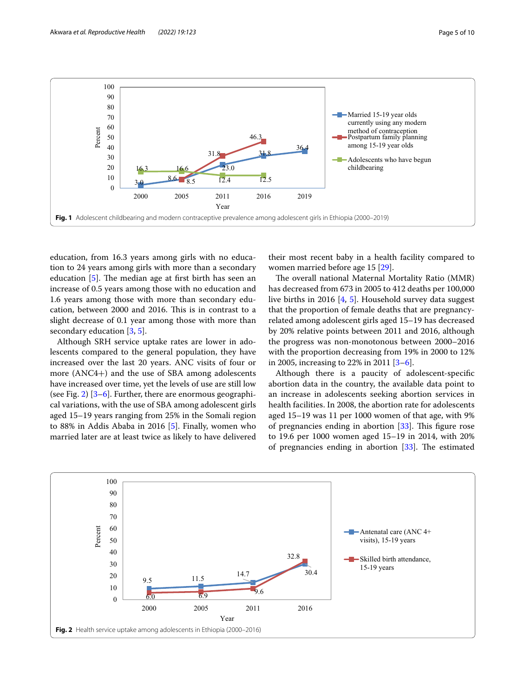

<span id="page-4-0"></span>education, from 16.3 years among girls with no education to 24 years among girls with more than a secondary education  $[5]$  $[5]$ . The median age at first birth has seen an increase of 0.5 years among those with no education and 1.6 years among those with more than secondary education, between 2000 and 2016. This is in contrast to a slight decrease of 0.1 year among those with more than secondary education [[3,](#page-8-2) [5](#page-8-3)].

Although SRH service uptake rates are lower in adolescents compared to the general population, they have increased over the last 20 years. ANC visits of four or more (ANC4+) and the use of SBA among adolescents have increased over time, yet the levels of use are still low (see Fig. [2](#page-4-1))  $[3-6]$  $[3-6]$ . Further, there are enormous geographical variations, with the use of SBA among adolescent girls aged 15–19 years ranging from 25% in the Somali region to 88% in Addis Ababa in 2016 [[5\]](#page-8-3). Finally, women who married later are at least twice as likely to have delivered

their most recent baby in a health facility compared to women married before age 15 [[29\]](#page-9-12).

The overall national Maternal Mortality Ratio (MMR) has decreased from 673 in 2005 to 412 deaths per 100,000 live births in 2016 [\[4](#page-8-15), [5\]](#page-8-3). Household survey data suggest that the proportion of female deaths that are pregnancyrelated among adolescent girls aged 15–19 has decreased by 20% relative points between 2011 and 2016, although the progress was non-monotonous between 2000–2016 with the proportion decreasing from 19% in 2000 to 12% in 2005, increasing to 22% in 2011 [[3–](#page-8-2)[6\]](#page-8-4).

Although there is a paucity of adolescent-specifc abortion data in the country, the available data point to an increase in adolescents seeking abortion services in health facilities. In 2008, the abortion rate for adolescents aged 15–19 was 11 per 1000 women of that age, with 9% of pregnancies ending in abortion  $[33]$  $[33]$ . This figure rose to 19.6 per 1000 women aged 15–19 in 2014, with 20% of pregnancies ending in abortion  $[33]$  $[33]$ . The estimated

<span id="page-4-1"></span>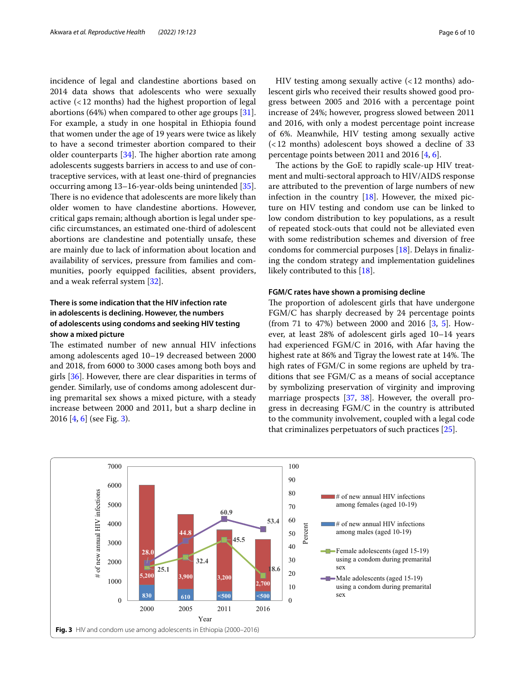incidence of legal and clandestine abortions based on 2014 data shows that adolescents who were sexually active (<12 months) had the highest proportion of legal abortions (64%) when compared to other age groups  $[31]$  $[31]$ . For example, a study in one hospital in Ethiopia found that women under the age of 19 years were twice as likely to have a second trimester abortion compared to their older counterparts  $[34]$  $[34]$  $[34]$ . The higher abortion rate among adolescents suggests barriers in access to and use of contraceptive services, with at least one-third of pregnancies occurring among 13–16-year-olds being unintended [\[35](#page-9-18)]. There is no evidence that adolescents are more likely than older women to have clandestine abortions. However, critical gaps remain; although abortion is legal under specifc circumstances, an estimated one-third of adolescent abortions are clandestine and potentially unsafe, these are mainly due to lack of information about location and availability of services, pressure from families and communities, poorly equipped facilities, absent providers, and a weak referral system [\[32\]](#page-9-15).

# **There is some indication that the HIV infection rate in adolescents is declining. However, the numbers of adolescents using condoms and seeking HIV testing show a mixed picture**

The estimated number of new annual HIV infections among adolescents aged 10–19 decreased between 2000 and 2018, from 6000 to 3000 cases among both boys and girls [\[36\]](#page-9-19). However, there are clear disparities in terms of gender. Similarly, use of condoms among adolescent during premarital sex shows a mixed picture, with a steady increase between 2000 and 2011, but a sharp decline in 2016 [[4,](#page-8-15) [6](#page-8-4)] (see Fig. [3](#page-5-0)).

HIV testing among sexually active (<12 months) adolescent girls who received their results showed good progress between 2005 and 2016 with a percentage point increase of 24%; however, progress slowed between 2011 and 2016, with only a modest percentage point increase of 6%. Meanwhile, HIV testing among sexually active (<12 months) adolescent boys showed a decline of 33 percentage points between 2011 and 2016 [\[4](#page-8-15), [6\]](#page-8-4).

The actions by the GoE to rapidly scale-up HIV treatment and multi-sectoral approach to HIV/AIDS response are attributed to the prevention of large numbers of new infection in the country  $[18]$ . However, the mixed picture on HIV testing and condom use can be linked to low condom distribution to key populations, as a result of repeated stock-outs that could not be alleviated even with some redistribution schemes and diversion of free condoms for commercial purposes [\[18](#page-9-1)]. Delays in fnalizing the condom strategy and implementation guidelines likely contributed to this [\[18\]](#page-9-1).

### **FGM/C rates have shown a promising decline**

The proportion of adolescent girls that have undergone FGM/C has sharply decreased by 24 percentage points (from 71 to 47%) between 2000 and 2016 [[3,](#page-8-2) [5\]](#page-8-3). However, at least 28% of adolescent girls aged 10–14 years had experienced FGM/C in 2016, with Afar having the highest rate at 86% and Tigray the lowest rate at 14%. The high rates of FGM/C in some regions are upheld by traditions that see FGM/C as a means of social acceptance by symbolizing preservation of virginity and improving marriage prospects [[37,](#page-9-20) [38](#page-9-21)]. However, the overall progress in decreasing FGM/C in the country is attributed to the community involvement, coupled with a legal code that criminalizes perpetuators of such practices [[25](#page-9-8)].

<span id="page-5-0"></span>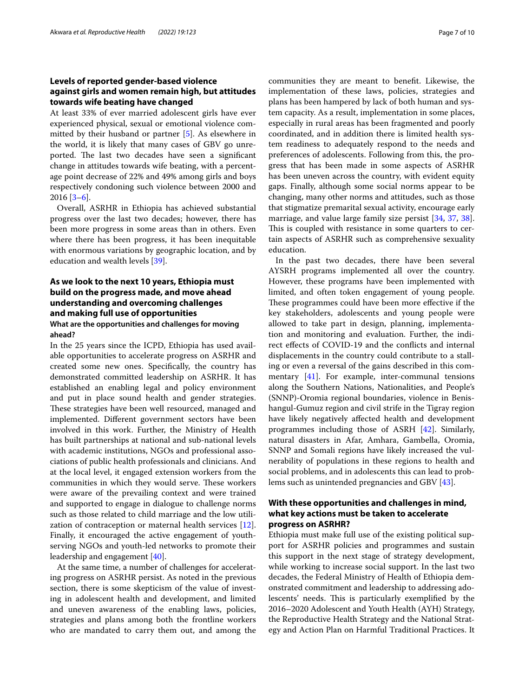# **Levels of reported gender‑based violence against girls and women remain high, but attitudes towards wife beating have changed**

At least 33% of ever married adolescent girls have ever experienced physical, sexual or emotional violence committed by their husband or partner [[5\]](#page-8-3). As elsewhere in the world, it is likely that many cases of GBV go unreported. The last two decades have seen a significant change in attitudes towards wife beating, with a percentage point decrease of 22% and 49% among girls and boys respectively condoning such violence between 2000 and 2016 [[3–](#page-8-2)[6\]](#page-8-4).

Overall, ASRHR in Ethiopia has achieved substantial progress over the last two decades; however, there has been more progress in some areas than in others. Even where there has been progress, it has been inequitable with enormous variations by geographic location, and by education and wealth levels [\[39](#page-9-22)].

# **As we look to the next 10 years, Ethiopia must build on the progress made, and move ahead understanding and overcoming challenges and making full use of opportunities**

### **What are the opportunities and challenges for moving ahead?**

In the 25 years since the ICPD, Ethiopia has used available opportunities to accelerate progress on ASRHR and created some new ones. Specifcally, the country has demonstrated committed leadership on ASRHR. It has established an enabling legal and policy environment and put in place sound health and gender strategies. These strategies have been well resourced, managed and implemented. Diferent government sectors have been involved in this work. Further, the Ministry of Health has built partnerships at national and sub-national levels with academic institutions, NGOs and professional associations of public health professionals and clinicians. And at the local level, it engaged extension workers from the communities in which they would serve. These workers were aware of the prevailing context and were trained and supported to engage in dialogue to challenge norms such as those related to child marriage and the low utilization of contraception or maternal health services [\[12](#page-8-10)]. Finally, it encouraged the active engagement of youthserving NGOs and youth-led networks to promote their leadership and engagement [[40\]](#page-9-23).

At the same time, a number of challenges for accelerating progress on ASRHR persist. As noted in the previous section, there is some skepticism of the value of investing in adolescent health and development, and limited and uneven awareness of the enabling laws, policies, strategies and plans among both the frontline workers who are mandated to carry them out, and among the communities they are meant to beneft. Likewise, the implementation of these laws, policies, strategies and plans has been hampered by lack of both human and system capacity. As a result, implementation in some places, especially in rural areas has been fragmented and poorly coordinated, and in addition there is limited health system readiness to adequately respond to the needs and preferences of adolescents. Following from this, the progress that has been made in some aspects of ASRHR has been uneven across the country, with evident equity gaps. Finally, although some social norms appear to be changing, many other norms and attitudes, such as those that stigmatize premarital sexual activity, encourage early marriage, and value large family size persist [[34,](#page-9-17) [37,](#page-9-20) [38](#page-9-21)]. This is coupled with resistance in some quarters to certain aspects of ASRHR such as comprehensive sexuality education.

In the past two decades, there have been several AYSRH programs implemented all over the country. However, these programs have been implemented with limited, and often token engagement of young people. These programmes could have been more effective if the key stakeholders, adolescents and young people were allowed to take part in design, planning, implementation and monitoring and evaluation. Further, the indirect efects of COVID-19 and the conficts and internal displacements in the country could contribute to a stalling or even a reversal of the gains described in this commentary [\[41](#page-9-24)]. For example, inter-communal tensions along the Southern Nations, Nationalities, and People's (SNNP)-Oromia regional boundaries, violence in Benishangul-Gumuz region and civil strife in the Tigray region have likely negatively afected health and development programmes including those of ASRH [\[42\]](#page-9-25). Similarly, natural disasters in Afar, Amhara, Gambella, Oromia, SNNP and Somali regions have likely increased the vulnerability of populations in these regions to health and social problems, and in adolescents this can lead to problems such as unintended pregnancies and GBV [[43](#page-9-26)].

# **With these opportunities and challenges in mind, what key actions must be taken to accelerate progress on ASRHR?**

Ethiopia must make full use of the existing political support for ASRHR policies and programmes and sustain this support in the next stage of strategy development, while working to increase social support. In the last two decades, the Federal Ministry of Health of Ethiopia demonstrated commitment and leadership to addressing adolescents' needs. This is particularly exemplified by the 2016–2020 Adolescent and Youth Health (AYH) Strategy, the Reproductive Health Strategy and the National Strategy and Action Plan on Harmful Traditional Practices. It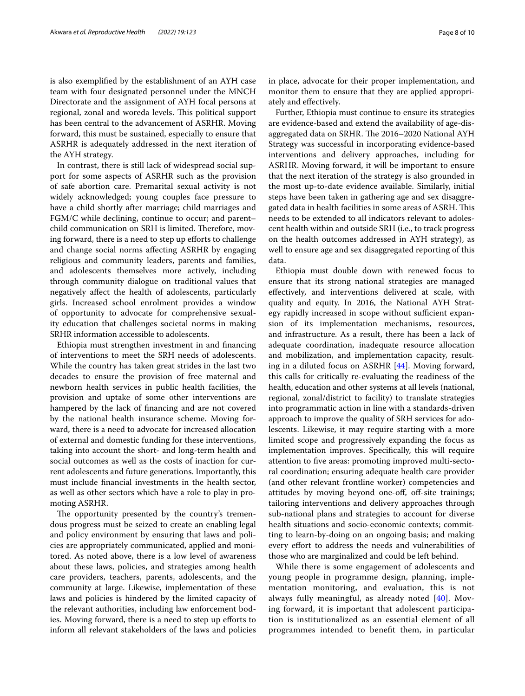is also exemplifed by the establishment of an AYH case team with four designated personnel under the MNCH Directorate and the assignment of AYH focal persons at regional, zonal and woreda levels. This political support has been central to the advancement of ASRHR. Moving forward, this must be sustained, especially to ensure that ASRHR is adequately addressed in the next iteration of the AYH strategy.

In contrast, there is still lack of widespread social support for some aspects of ASRHR such as the provision of safe abortion care. Premarital sexual activity is not widely acknowledged; young couples face pressure to have a child shortly after marriage; child marriages and FGM/C while declining, continue to occur; and parent– child communication on SRH is limited. Therefore, moving forward, there is a need to step up efforts to challenge and change social norms afecting ASRHR by engaging religious and community leaders, parents and families, and adolescents themselves more actively, including through community dialogue on traditional values that negatively afect the health of adolescents, particularly girls. Increased school enrolment provides a window of opportunity to advocate for comprehensive sexuality education that challenges societal norms in making SRHR information accessible to adolescents.

Ethiopia must strengthen investment in and fnancing of interventions to meet the SRH needs of adolescents. While the country has taken great strides in the last two decades to ensure the provision of free maternal and newborn health services in public health facilities, the provision and uptake of some other interventions are hampered by the lack of fnancing and are not covered by the national health insurance scheme. Moving forward, there is a need to advocate for increased allocation of external and domestic funding for these interventions, taking into account the short- and long-term health and social outcomes as well as the costs of inaction for current adolescents and future generations. Importantly, this must include fnancial investments in the health sector, as well as other sectors which have a role to play in promoting ASRHR.

The opportunity presented by the country's tremendous progress must be seized to create an enabling legal and policy environment by ensuring that laws and policies are appropriately communicated, applied and monitored. As noted above, there is a low level of awareness about these laws, policies, and strategies among health care providers, teachers, parents, adolescents, and the community at large. Likewise, implementation of these laws and policies is hindered by the limited capacity of the relevant authorities, including law enforcement bodies. Moving forward, there is a need to step up eforts to inform all relevant stakeholders of the laws and policies in place, advocate for their proper implementation, and monitor them to ensure that they are applied appropriately and efectively.

Further, Ethiopia must continue to ensure its strategies are evidence-based and extend the availability of age-disaggregated data on SRHR. The 2016–2020 National AYH Strategy was successful in incorporating evidence-based interventions and delivery approaches, including for ASRHR. Moving forward, it will be important to ensure that the next iteration of the strategy is also grounded in the most up-to-date evidence available. Similarly, initial steps have been taken in gathering age and sex disaggregated data in health facilities in some areas of ASRH. This needs to be extended to all indicators relevant to adolescent health within and outside SRH (i.e., to track progress on the health outcomes addressed in AYH strategy), as well to ensure age and sex disaggregated reporting of this data.

Ethiopia must double down with renewed focus to ensure that its strong national strategies are managed efectively, and interventions delivered at scale, with quality and equity. In 2016, the National AYH Strategy rapidly increased in scope without sufficient expansion of its implementation mechanisms, resources, and infrastructure. As a result, there has been a lack of adequate coordination, inadequate resource allocation and mobilization, and implementation capacity, resulting in a diluted focus on ASRHR [\[44\]](#page-9-27). Moving forward, this calls for critically re-evaluating the readiness of the health, education and other systems at all levels (national, regional, zonal/district to facility) to translate strategies into programmatic action in line with a standards-driven approach to improve the quality of SRH services for adolescents. Likewise, it may require starting with a more limited scope and progressively expanding the focus as implementation improves. Specifcally, this will require attention to fve areas: promoting improved multi-sectoral coordination; ensuring adequate health care provider (and other relevant frontline worker) competencies and attitudes by moving beyond one-off, off-site trainings; tailoring interventions and delivery approaches through sub-national plans and strategies to account for diverse health situations and socio-economic contexts; committing to learn-by-doing on an ongoing basis; and making every efort to address the needs and vulnerabilities of those who are marginalized and could be left behind.

While there is some engagement of adolescents and young people in programme design, planning, implementation monitoring, and evaluation, this is not always fully meaningful, as already noted [\[40](#page-9-23)]. Moving forward, it is important that adolescent participation is institutionalized as an essential element of all programmes intended to beneft them, in particular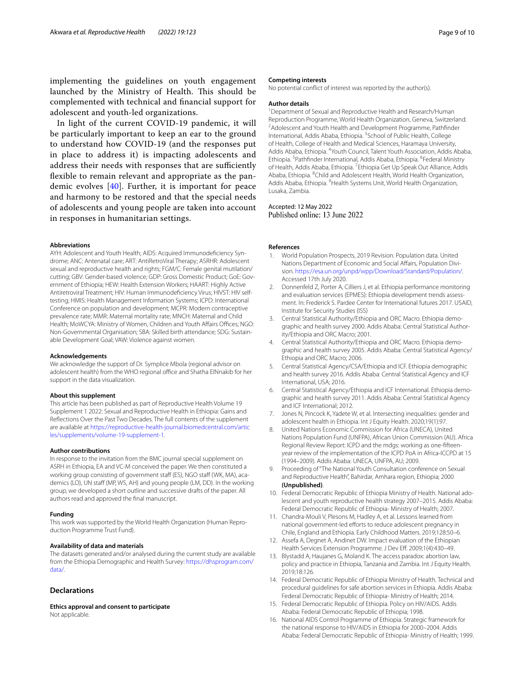implementing the guidelines on youth engagement launched by the Ministry of Health. This should be complemented with technical and fnancial support for adolescent and youth-led organizations.

In light of the current COVID-19 pandemic, it will be particularly important to keep an ear to the ground to understand how COVID-19 (and the responses put in place to address it) is impacting adolescents and address their needs with responses that are sufficiently fexible to remain relevant and appropriate as the pandemic evolves [[40\]](#page-9-23). Further, it is important for peace and harmony to be restored and that the special needs of adolescents and young people are taken into account in responses in humanitarian settings.

### **Abbreviations**

AYH: Adolescent and Youth Health; AIDS: Acquired Immunodeficiency Syndrome; ANC: Antenatal care; ART: AntiRetroViral Therapy; ASRHR: Adolescent sexual and reproductive health and rights; FGM/C: Female genital mutilation/ cutting; GBV: Gender-based violence; GDP: Gross Domestic Product; GoE: Government of Ethiopia; HEW: Health Extension Workers; HAART: Highly Active Antiretroviral Treatment; HIV: Human Immunodefciency Virus; HIVST: HIV selftesting; HMIS: Health Management Information Systems; ICPD: International Conference on population and development; MCPR: Modern contraceptive prevalence rate; MMR: Maternal mortality rate; MNCH: Maternal and Child Health; MoWCYA: Ministry of Women, Children and Youth Affairs Offices; NGO: Non-Governmental Organisation; SBA: Skilled birth attendance; SDG: Sustain‑ able Development Goal; VAW: Violence against women.

#### **Acknowledgements**

We acknowledge the support of Dr. Symplice Mbola (regional advisor on adolescent health) from the WHO regional office and Shatha ElNnakib for her support in the data visualization.

#### **About this supplement**

This article has been published as part of Reproductive Health Volume 19 Supplement 1 2022: Sexual and Reproductive Health in Ethiopia: Gains and Refections Over the Past Two Decades. The full contents of the supplement are available at [https://reproductive-health-journal.biomedcentral.com/artic](https://reproductive-health-journal.biomedcentral.com/articles/supplements/volume-19-supplement-1) [les/supplements/volume-19-supplement-1](https://reproductive-health-journal.biomedcentral.com/articles/supplements/volume-19-supplement-1).

#### **Author contributions**

In response to the invitation from the BMC journal special supplement on ASRH in Ethiopia, EA and VC-M conceived the paper. We then constituted a working group consisting of government staff (ES), NGO staff (WK, MA), academics (LO), UN staff (MP, WS, AH) and young people (LM, DD). In the working group, we developed a short outline and successive drafts of the paper. All authors read and approved the fnal manuscript.

#### **Funding**

This work was supported by the World Health Organization (Human Reproduction Programme Trust Fund).

### **Availability of data and materials**

The datasets generated and/or analysed during the current study are available from the Ethiopia Demographic and Health Survey: [https://dhsprogram.com/](https://dhsprogram.com/data/) [data/.](https://dhsprogram.com/data/)

### **Declarations**

**Ethics approval and consent to participate** Not applicable.

#### **Competing interests**

No potential confict of interest was reported by the author(s).

#### **Author details**

<sup>1</sup> Department of Sexual and Reproductive Health and Research/Human Reproduction Programme, World Health Organization, Geneva, Switzerland. <sup>2</sup> Adolescent and Youth Health and Development Programme, Pathfinder International, Addis Ababa, Ethiopia. <sup>3</sup> School of Public Health, College of Health, College of Health and Medical Sciences, Haramaya University, Addis Ababa, Ethiopia. <sup>4</sup> Youth Council, Talent Youth Association, Addis Ababa, Ethiopia. <sup>5</sup> Pathfinder International, Addis Ababa, Ethiopia. <sup>6</sup> Federal Ministry of Health, Addis Ababa, Ethiopia.<sup>7</sup> Ethiopia Get Up Speak Out Alliance, Addis Ababa, Ethiopia. <sup>8</sup>Child and Adolescent Health, World Health Organization, Addis Ababa, Ethiopia. <sup>9</sup> Health Systems Unit, World Health Organization, Lusaka, Zambia.

Accepted: 12 May 2022 Published online: 13 June 2022

#### **References**

- <span id="page-8-0"></span>1. World Population Prospects, 2019 Revision. Population data. United Nations Department of Economic and Social Affairs, Population Division.<https://esa.un.org/unpd/wpp/Download/Standard/Population/>. Accessed 17th July 2020.
- <span id="page-8-1"></span>2. Donnenfeld Z, Porter A, Cilliers J, et al. Ethiopia performance monitoring and evaluation services (EPMES): Ethiopia development trends assessment. In: Frederick S. Pardee Center for International futures 2017. USAID, Institute for Security Studies (ISS)
- <span id="page-8-2"></span>3. Central Statistical Authority/Ethiopia and ORC Macro. Ethiopia demographic and health survey 2000. Addis Ababa: Central Statistical Authority/Ethiopia and ORC Macro; 2001.
- <span id="page-8-15"></span>Central Statistical Authority/Ethiopia and ORC Macro. Ethiopia demographic and health survey 2005. Addis Ababa: Central Statistical Agency/ Ethiopia and ORC Macro; 2006.
- <span id="page-8-3"></span>5. Central Statistical Agency/CSA/Ethiopia and ICF. Ethiopia demographic and health survey 2016. Addis Ababa: Central Statistical Agency and ICF International, USA; 2016.
- <span id="page-8-4"></span>6. Central Statistical Agency/Ethiopia and ICF International. Ethiopia demographic and health survey 2011. Addis Ababa: Central Statistical Agency and ICF International; 2012.
- <span id="page-8-5"></span>7. Jones N, Pincock K, Yadete W, et al. Intersecting inequalities: gender and adolescent health in Ethiopia. Int J Equity Health. 2020;19(1):97.
- <span id="page-8-6"></span>8. United Nations Economic Commission for Africa (UNECA), United Nations Population Fund (UNFPA), African Union Commission (AU). Africa Regional Review Report: ICPD and the mdgs: working as one-ffteenyear review of the implementation of the ICPD PoA in Africa-ICCPD at 15 (1994–2009). Addis Ababa: UNECA, UNFPA, AU; 2009.
- <span id="page-8-7"></span>9. Proceeding of "The National Youth Consultation conference on Sexual and Reproductive Health", Bahirdar, Amhara region, Ethiopia; 2000 **(Unpublished)**.
- <span id="page-8-8"></span>10. Federal Democratic Republic of Ethiopia Ministry of Health. National adolescent and youth reproductive health strategy 2007–2015. Addis Ababa: Federal Democratic Republic of Ethiopia- Ministry of Health; 2007.
- <span id="page-8-9"></span>11. Chandra-Mouli V, Plesons M, Hadley A, et al. Lessons learned from national government-led efforts to reduce adolescent pregnancy in Chile, England and Ethiopia. Early Childhood Matters. 2019;128:50–6.
- <span id="page-8-10"></span>12. Assefa A, Degnet A, Andinet DW. Impact evaluation of the Ethiopian Health Services Extension Programme. J Dev Ef. 2009;1(4):430–49.
- <span id="page-8-12"></span>13. Blystadd A, Haujanes G, Moland K. The access paradox: abortion law, policy and practice in Ethiopia, Tanzania and Zambia. Int J Equity Health. 2019;18:126.
- <span id="page-8-11"></span>14. Federal Democratic Republic of Ethiopia Ministry of Health. Technical and procedural guidelines for safe abortion services in Ethiopia. Addis Ababa: Federal Democratic Republic of Ethiopia- Ministry of Health; 2014.
- <span id="page-8-13"></span>15. Federal Democratic Republic of Ethiopia. Policy on HIV/AIDS. Addis Ababa: Federal Democratic Republic of Ethiopia; 1998.
- <span id="page-8-14"></span>16. National AIDS Control Programme of Ethiopia. Strategic framework for the national response to HIV/AIDS in Ethiopia for 2000–2004. Addis Ababa: Federal Democratic Republic of Ethiopia- Ministry of Health; 1999.